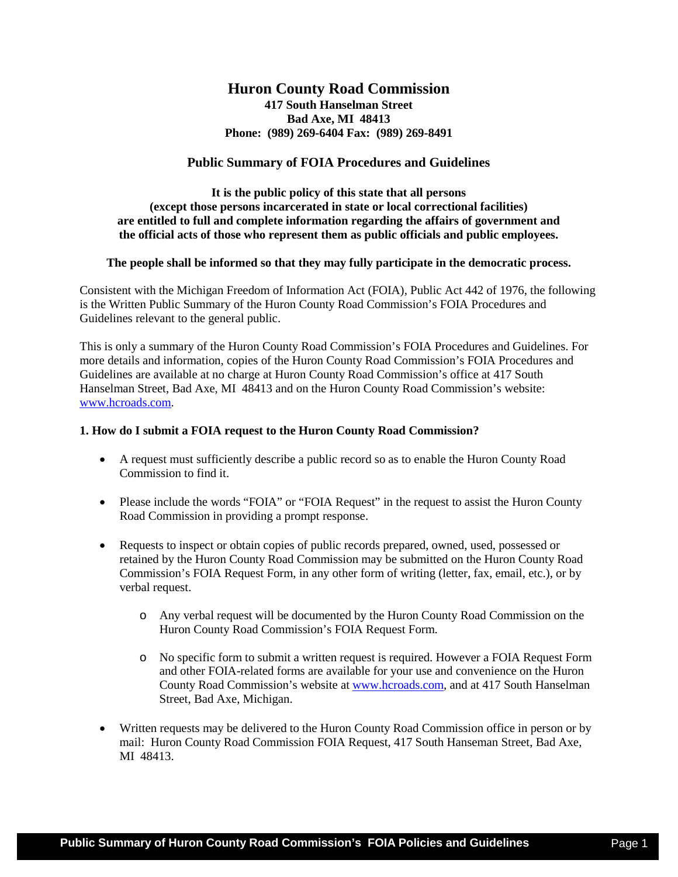# **Huron County Road Commission**

**417 South Hanselman Street Bad Axe, MI 48413 Phone: (989) 269-6404 Fax: (989) 269-8491**

## **Public Summary of FOIA Procedures and Guidelines**

**It is the public policy of this state that all persons (except those persons incarcerated in state or local correctional facilities) are entitled to full and complete information regarding the affairs of government and the official acts of those who represent them as public officials and public employees.** 

## **The people shall be informed so that they may fully participate in the democratic process.**

Consistent with the Michigan Freedom of Information Act (FOIA), Public Act 442 of 1976, the following is the Written Public Summary of the Huron County Road Commission's FOIA Procedures and Guidelines relevant to the general public.

This is only a summary of the Huron County Road Commission's FOIA Procedures and Guidelines. For more details and information, copies of the Huron County Road Commission's FOIA Procedures and Guidelines are available at no charge at Huron County Road Commission's office at 417 South Hanselman Street, Bad Axe, MI 48413 and on the Huron County Road Commission's website: [www.hcroads.com.](http://www.hcroads.com/)

#### **1. How do I submit a FOIA request to the Huron County Road Commission?**

- A request must sufficiently describe a public record so as to enable the Huron County Road Commission to find it.
- Please include the words "FOIA" or "FOIA Request" in the request to assist the Huron County Road Commission in providing a prompt response.
- Requests to inspect or obtain copies of public records prepared, owned, used, possessed or retained by the Huron County Road Commission may be submitted on the Huron County Road Commission's FOIA Request Form, in any other form of writing (letter, fax, email, etc.), or by verbal request.
	- o Any verbal request will be documented by the Huron County Road Commission on the Huron County Road Commission's FOIA Request Form.
	- o No specific form to submit a written request is required. However a FOIA Request Form and other FOIA-related forms are available for your use and convenience on the Huron County Road Commission's website at [www.hcroads.com,](http://www.hcroads.com/) and at 417 South Hanselman Street, Bad Axe, Michigan.
- Written requests may be delivered to the Huron County Road Commission office in person or by mail: Huron County Road Commission FOIA Request, 417 South Hanseman Street, Bad Axe, MI 48413.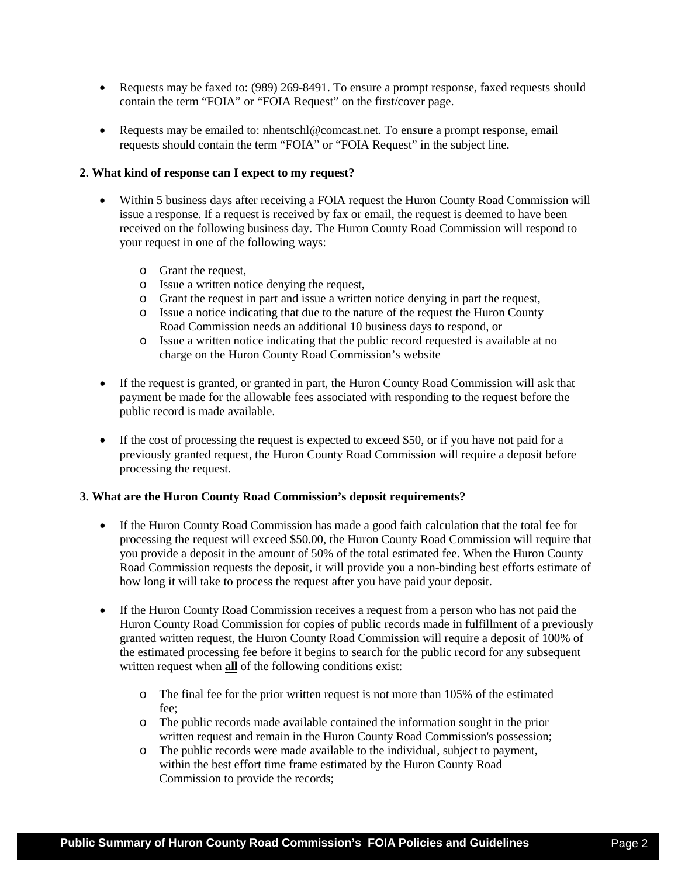- Requests may be faxed to: (989) 269-8491. To ensure a prompt response, faxed requests should contain the term "FOIA" or "FOIA Request" on the first/cover page.
- Requests may be emailed to: nhentschl@comcast.net. To ensure a prompt response, email requests should contain the term "FOIA" or "FOIA Request" in the subject line.

#### **2. What kind of response can I expect to my request?**

- Within 5 business days after receiving a FOIA request the Huron County Road Commission will issue a response. If a request is received by fax or email, the request is deemed to have been received on the following business day. The Huron County Road Commission will respond to your request in one of the following ways:
	- o Grant the request,
	- o Issue a written notice denying the request,
	- o Grant the request in part and issue a written notice denying in part the request,
	- o Issue a notice indicating that due to the nature of the request the Huron County Road Commission needs an additional 10 business days to respond, or
	- o Issue a written notice indicating that the public record requested is available at no charge on the Huron County Road Commission's website
- If the request is granted, or granted in part, the Huron County Road Commission will ask that payment be made for the allowable fees associated with responding to the request before the public record is made available.
- If the cost of processing the request is expected to exceed \$50, or if you have not paid for a previously granted request, the Huron County Road Commission will require a deposit before processing the request.

#### **3. What are the Huron County Road Commission's deposit requirements?**

- If the Huron County Road Commission has made a good faith calculation that the total fee for processing the request will exceed \$50.00, the Huron County Road Commission will require that you provide a deposit in the amount of 50% of the total estimated fee. When the Huron County Road Commission requests the deposit, it will provide you a non-binding best efforts estimate of how long it will take to process the request after you have paid your deposit.
- If the Huron County Road Commission receives a request from a person who has not paid the Huron County Road Commission for copies of public records made in fulfillment of a previously granted written request, the Huron County Road Commission will require a deposit of 100% of the estimated processing fee before it begins to search for the public record for any subsequent written request when **all** of the following conditions exist:
	- o The final fee for the prior written request is not more than 105% of the estimated fee;
	- o The public records made available contained the information sought in the prior written request and remain in the Huron County Road Commission's possession;
	- o The public records were made available to the individual, subject to payment, within the best effort time frame estimated by the Huron County Road Commission to provide the records;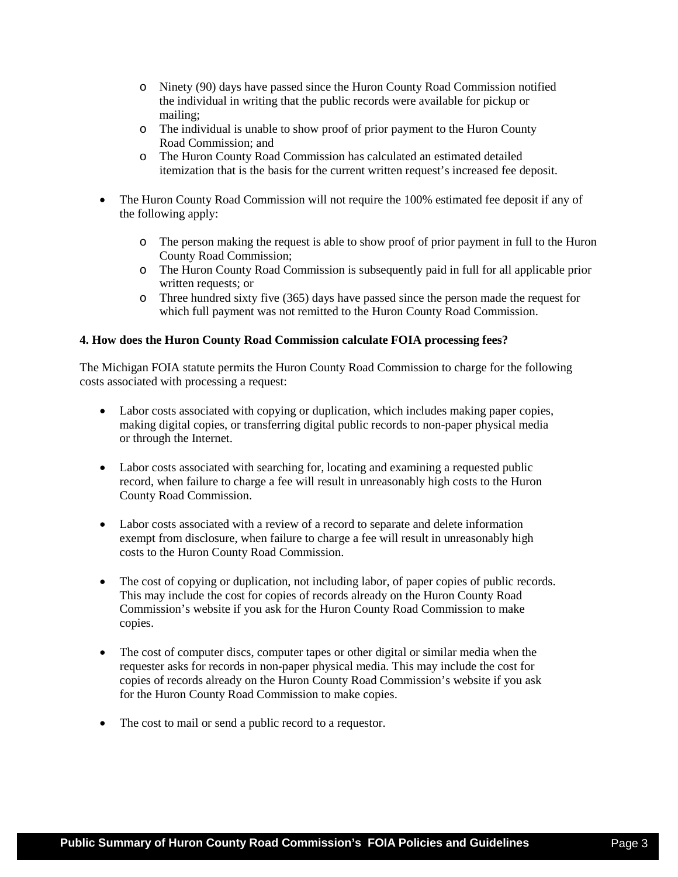- o Ninety (90) days have passed since the Huron County Road Commission notified the individual in writing that the public records were available for pickup or mailing;
- o The individual is unable to show proof of prior payment to the Huron County Road Commission; and
- o The Huron County Road Commission has calculated an estimated detailed itemization that is the basis for the current written request's increased fee deposit.
- The Huron County Road Commission will not require the 100% estimated fee deposit if any of the following apply:
	- o The person making the request is able to show proof of prior payment in full to the Huron County Road Commission;
	- o The Huron County Road Commission is subsequently paid in full for all applicable prior written requests; or
	- o Three hundred sixty five (365) days have passed since the person made the request for which full payment was not remitted to the Huron County Road Commission.

## **4. How does the Huron County Road Commission calculate FOIA processing fees?**

The Michigan FOIA statute permits the Huron County Road Commission to charge for the following costs associated with processing a request:

- Labor costs associated with copying or duplication, which includes making paper copies, making digital copies, or transferring digital public records to non-paper physical media or through the Internet.
- Labor costs associated with searching for, locating and examining a requested public record, when failure to charge a fee will result in unreasonably high costs to the Huron County Road Commission.
- Labor costs associated with a review of a record to separate and delete information exempt from disclosure, when failure to charge a fee will result in unreasonably high costs to the Huron County Road Commission.
- The cost of copying or duplication, not including labor, of paper copies of public records. This may include the cost for copies of records already on the Huron County Road Commission's website if you ask for the Huron County Road Commission to make copies.
- The cost of computer discs, computer tapes or other digital or similar media when the requester asks for records in non-paper physical media. This may include the cost for copies of records already on the Huron County Road Commission's website if you ask for the Huron County Road Commission to make copies.
- The cost to mail or send a public record to a requestor.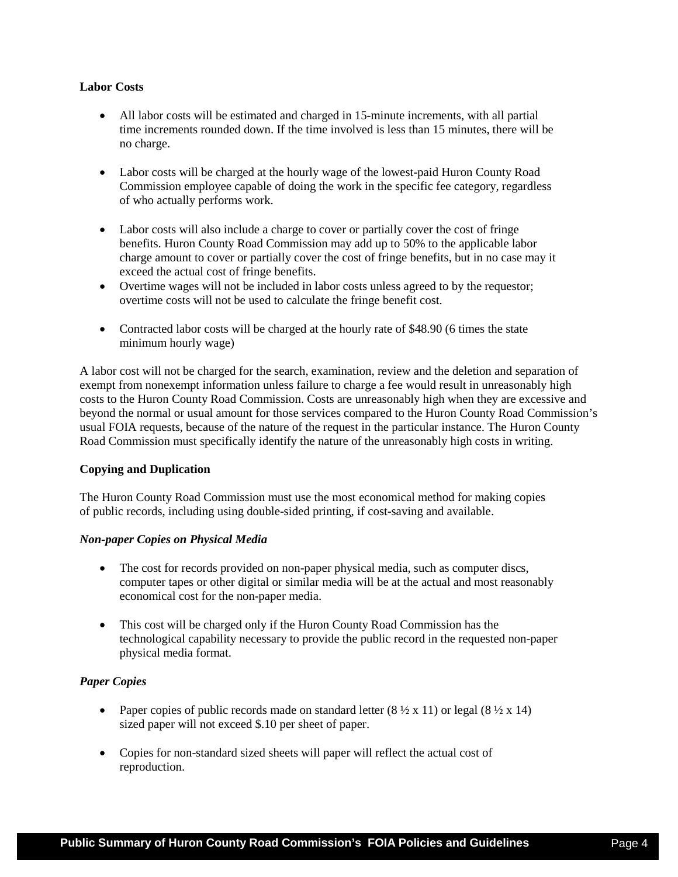## **Labor Costs**

- All labor costs will be estimated and charged in 15-minute increments, with all partial time increments rounded down. If the time involved is less than 15 minutes, there will be no charge.
- Labor costs will be charged at the hourly wage of the lowest-paid Huron County Road Commission employee capable of doing the work in the specific fee category, regardless of who actually performs work.
- Labor costs will also include a charge to cover or partially cover the cost of fringe benefits. Huron County Road Commission may add up to 50% to the applicable labor charge amount to cover or partially cover the cost of fringe benefits, but in no case may it exceed the actual cost of fringe benefits.
- Overtime wages will not be included in labor costs unless agreed to by the requestor; overtime costs will not be used to calculate the fringe benefit cost.
- Contracted labor costs will be charged at the hourly rate of \$48.90 (6 times the state minimum hourly wage)

A labor cost will not be charged for the search, examination, review and the deletion and separation of exempt from nonexempt information unless failure to charge a fee would result in unreasonably high costs to the Huron County Road Commission. Costs are unreasonably high when they are excessive and beyond the normal or usual amount for those services compared to the Huron County Road Commission's usual FOIA requests, because of the nature of the request in the particular instance. The Huron County Road Commission must specifically identify the nature of the unreasonably high costs in writing.

## **Copying and Duplication**

The Huron County Road Commission must use the most economical method for making copies of public records, including using double-sided printing, if cost-saving and available.

## *Non-paper Copies on Physical Media*

- The cost for records provided on non-paper physical media, such as computer discs, computer tapes or other digital or similar media will be at the actual and most reasonably economical cost for the non-paper media.
- This cost will be charged only if the Huron County Road Commission has the technological capability necessary to provide the public record in the requested non-paper physical media format.

## *Paper Copies*

- Paper copies of public records made on standard letter  $(8 \frac{1}{2} \times 11)$  or legal  $(8 \frac{1}{2} \times 14)$ sized paper will not exceed \$.10 per sheet of paper.
- Copies for non-standard sized sheets will paper will reflect the actual cost of reproduction.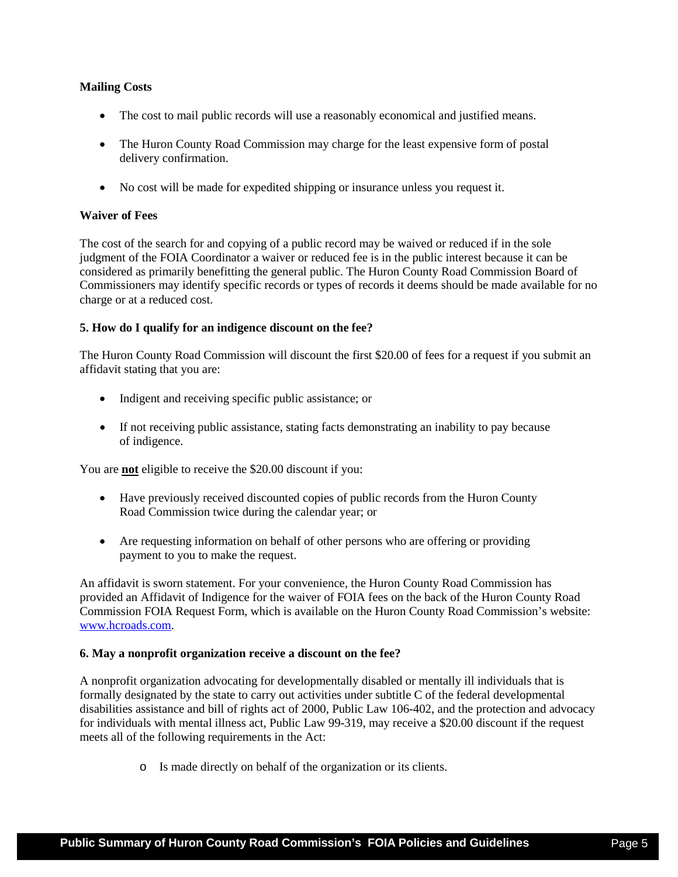## **Mailing Costs**

- The cost to mail public records will use a reasonably economical and justified means.
- The Huron County Road Commission may charge for the least expensive form of postal delivery confirmation.
- No cost will be made for expedited shipping or insurance unless you request it.

#### **Waiver of Fees**

The cost of the search for and copying of a public record may be waived or reduced if in the sole judgment of the FOIA Coordinator a waiver or reduced fee is in the public interest because it can be considered as primarily benefitting the general public. The Huron County Road Commission Board of Commissioners may identify specific records or types of records it deems should be made available for no charge or at a reduced cost.

#### **5. How do I qualify for an indigence discount on the fee?**

The Huron County Road Commission will discount the first \$20.00 of fees for a request if you submit an affidavit stating that you are:

- Indigent and receiving specific public assistance; or
- If not receiving public assistance, stating facts demonstrating an inability to pay because of indigence.

You are **not** eligible to receive the \$20.00 discount if you:

- Have previously received discounted copies of public records from the Huron County Road Commission twice during the calendar year; or
- Are requesting information on behalf of other persons who are offering or providing payment to you to make the request.

An affidavit is sworn statement. For your convenience, the Huron County Road Commission has provided an Affidavit of Indigence for the waiver of FOIA fees on the back of the Huron County Road Commission FOIA Request Form, which is available on the Huron County Road Commission's website: [www.hcroads.com.](http://www.hcroads.com/)

#### **6. May a nonprofit organization receive a discount on the fee?**

A nonprofit organization advocating for developmentally disabled or mentally ill individuals that is formally designated by the state to carry out activities under subtitle C of the federal developmental disabilities assistance and bill of rights act of 2000, Public Law 106-402, and the protection and advocacy for individuals with mental illness act, Public Law 99-319, may receive a \$20.00 discount if the request meets all of the following requirements in the Act:

o Is made directly on behalf of the organization or its clients.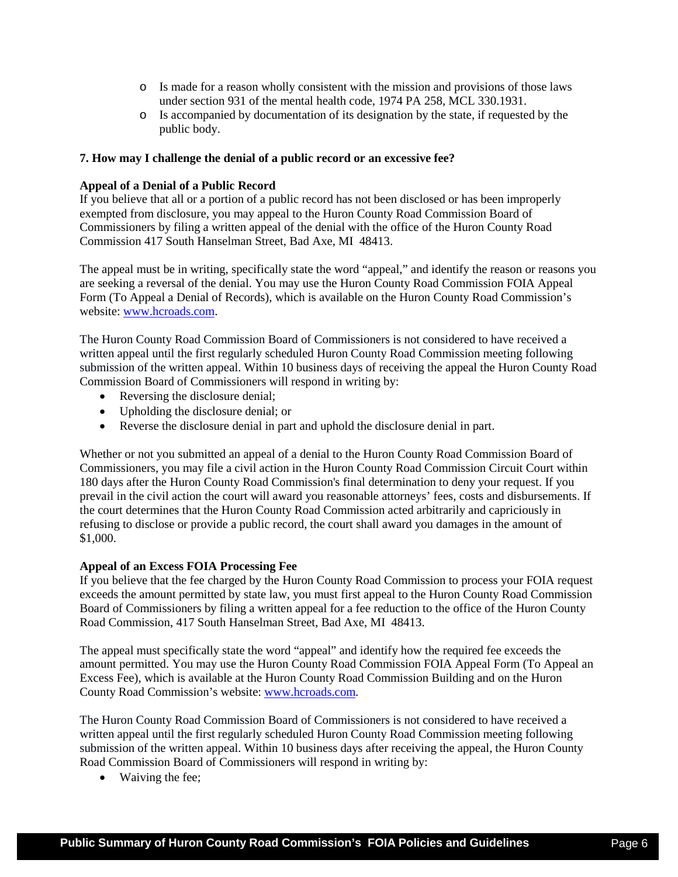- o Is made for a reason wholly consistent with the mission and provisions of those laws under section 931 of the mental health code, 1974 PA 258, MCL 330.1931.
- o Is accompanied by documentation of its designation by the state, if requested by the public body.

## **7. How may I challenge the denial of a public record or an excessive fee?**

# **Appeal of a Denial of a Public Record**

If you believe that all or a portion of a public record has not been disclosed or has been improperly exempted from disclosure, you may appeal to the Huron County Road Commission Board of Commissioners by filing a written appeal of the denial with the office of the Huron County Road Commission 417 South Hanselman Street, Bad Axe, MI 48413.

The appeal must be in writing, specifically state the word "appeal," and identify the reason or reasons you are seeking a reversal of the denial. You may use the Huron County Road Commission FOIA Appeal Form (To Appeal a Denial of Records), which is available on the Huron County Road Commission's website: [www.hcroads.com.](http://www.hcroads.com/)

The Huron County Road Commission Board of Commissioners is not considered to have received a written appeal until the first regularly scheduled Huron County Road Commission meeting following submission of the written appeal. Within 10 business days of receiving the appeal the Huron County Road Commission Board of Commissioners will respond in writing by:

- Reversing the disclosure denial;
- Upholding the disclosure denial; or
- Reverse the disclosure denial in part and uphold the disclosure denial in part.

Whether or not you submitted an appeal of a denial to the Huron County Road Commission Board of Commissioners, you may file a civil action in the Huron County Road Commission Circuit Court within 180 days after the Huron County Road Commission's final determination to deny your request. If you prevail in the civil action the court will award you reasonable attorneys' fees, costs and disbursements. If the court determines that the Huron County Road Commission acted arbitrarily and capriciously in refusing to disclose or provide a public record, the court shall award you damages in the amount of \$1,000.

## **Appeal of an Excess FOIA Processing Fee**

If you believe that the fee charged by the Huron County Road Commission to process your FOIA request exceeds the amount permitted by state law, you must first appeal to the Huron County Road Commission Board of Commissioners by filing a written appeal for a fee reduction to the office of the Huron County Road Commission, 417 South Hanselman Street, Bad Axe, MI 48413.

The appeal must specifically state the word "appeal" and identify how the required fee exceeds the amount permitted. You may use the Huron County Road Commission FOIA Appeal Form (To Appeal an Excess Fee), which is available at the Huron County Road Commission Building and on the Huron County Road Commission's website: [www.hcroads.com.](http://www.hcroads.com/)

The Huron County Road Commission Board of Commissioners is not considered to have received a written appeal until the first regularly scheduled Huron County Road Commission meeting following submission of the written appeal. Within 10 business days after receiving the appeal, the Huron County Road Commission Board of Commissioners will respond in writing by:

• Waiving the fee;